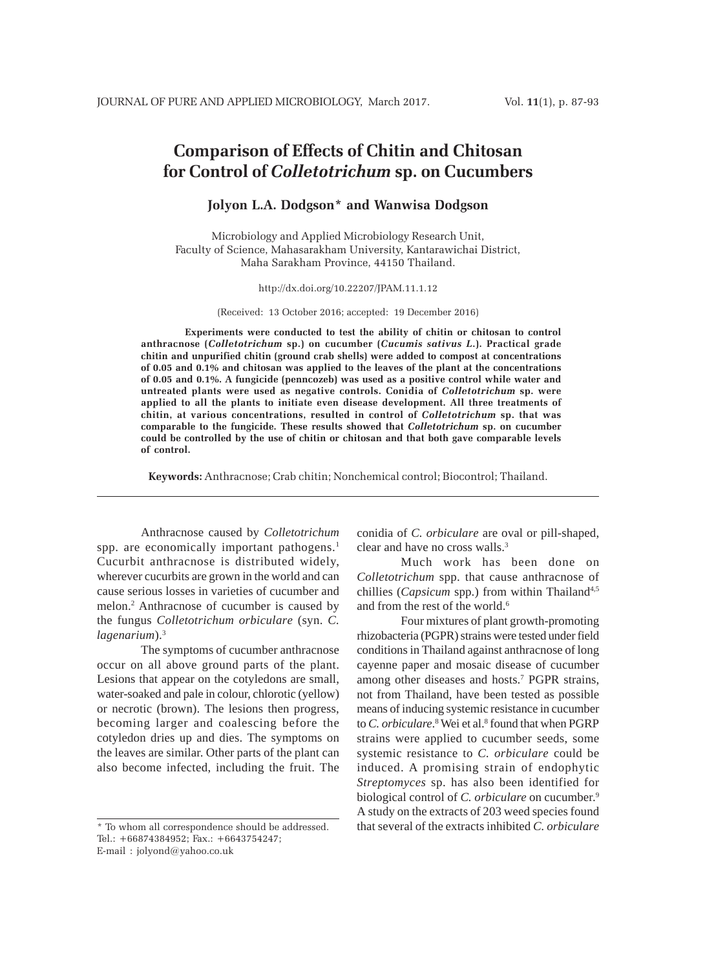# **Comparison of Effects of Chitin and Chitosan for Control of** *Colletotrichum* **sp. on Cucumbers**

# **Jolyon L.A. Dodgson\* and Wanwisa Dodgson**

Microbiology and Applied Microbiology Research Unit, Faculty of Science, Mahasarakham University, Kantarawichai District, Maha Sarakham Province, 44150 Thailand.

#### http://dx.doi.org/10.22207/JPAM.11.1.12

(Received: 13 October 2016; accepted: 19 December 2016)

**Experiments were conducted to test the ability of chitin or chitosan to control anthracnose (***Colletotrichum* **sp.) on cucumber (***Cucumis sativus L***.). Practical grade chitin and unpurified chitin (ground crab shells) were added to compost at concentrations of 0.05 and 0.1% and chitosan was applied to the leaves of the plant at the concentrations of 0.05 and 0.1%. A fungicide (penncozeb) was used as a positive control while water and untreated plants were used as negative controls. Conidia of** *Colletotrichum* **sp. were applied to all the plants to initiate even disease development. All three treatments of chitin, at various concentrations, resulted in control of** *Colletotrichum* **sp. that was comparable to the fungicide. These results showed that** *Colletotrichum* **sp. on cucumber could be controlled by the use of chitin or chitosan and that both gave comparable levels of control.**

**Keywords:** Anthracnose; Crab chitin; Nonchemical control; Biocontrol; Thailand.

Anthracnose caused by *Colletotrichum* spp. are economically important pathogens.<sup>1</sup> Cucurbit anthracnose is distributed widely, wherever cucurbits are grown in the world and can cause serious losses in varieties of cucumber and melon.2 Anthracnose of cucumber is caused by the fungus *Colletotrichum orbiculare* (syn. *C. lagenarium*).3

The symptoms of cucumber anthracnose occur on all above ground parts of the plant. Lesions that appear on the cotyledons are small, water-soaked and pale in colour, chlorotic (yellow) or necrotic (brown). The lesions then progress, becoming larger and coalescing before the cotyledon dries up and dies. The symptoms on the leaves are similar. Other parts of the plant can also become infected, including the fruit. The

conidia of *C. orbiculare* are oval or pill-shaped, clear and have no cross walls.3

Much work has been done on *Colletotrichum* spp. that cause anthracnose of chillies (*Capsicum* spp.) from within Thailand<sup>4,5</sup> and from the rest of the world.<sup>6</sup>

Four mixtures of plant growth-promoting rhizobacteria (PGPR) strains were tested under field conditions in Thailand against anthracnose of long cayenne paper and mosaic disease of cucumber among other diseases and hosts.<sup>7</sup> PGPR strains, not from Thailand, have been tested as possible means of inducing systemic resistance in cucumber to *C. orbiculare*.<sup>8</sup> Wei et al.<sup>8</sup> found that when PGRP strains were applied to cucumber seeds, some systemic resistance to *C. orbiculare* could be induced. A promising strain of endophytic *Streptomyces* sp. has also been identified for biological control of *C. orbiculare* on cucumber.<sup>9</sup> A study on the extracts of 203 weed species found that several of the extracts inhibited *C. orbiculare*

<sup>\*</sup> To whom all correspondence should be addressed. Tel.: +66874384952; Fax.: +6643754247; E-mail : jolyond@yahoo.co.uk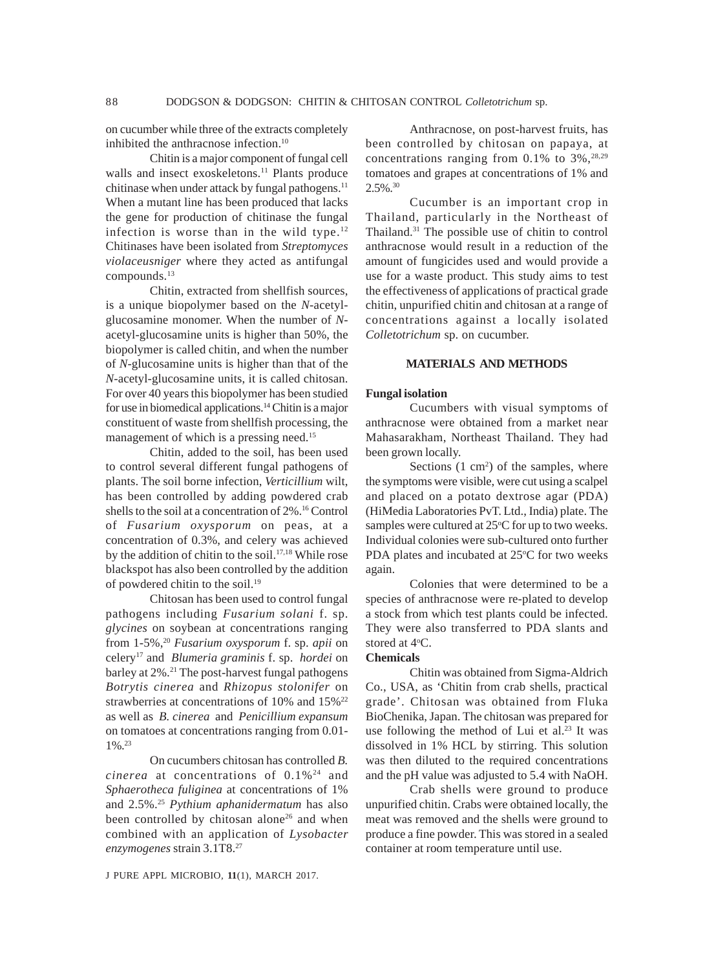on cucumber while three of the extracts completely inhibited the anthracnose infection.<sup>10</sup>

Chitin is a major component of fungal cell walls and insect exoskeletons.<sup>11</sup> Plants produce chitinase when under attack by fungal pathogens.<sup>11</sup> When a mutant line has been produced that lacks the gene for production of chitinase the fungal infection is worse than in the wild type. $12$ Chitinases have been isolated from *Streptomyces violaceusniger* where they acted as antifungal compounds.<sup>13</sup>

Chitin, extracted from shellfish sources, is a unique biopolymer based on the *N*-acetylglucosamine monomer. When the number of *N*acetyl-glucosamine units is higher than 50%, the biopolymer is called chitin, and when the number of *N*-glucosamine units is higher than that of the *N*-acetyl-glucosamine units, it is called chitosan. For over 40 years this biopolymer has been studied for use in biomedical applications.14 Chitin is a major constituent of waste from shellfish processing, the management of which is a pressing need.<sup>15</sup>

Chitin, added to the soil, has been used to control several different fungal pathogens of plants. The soil borne infection, *Verticillium* wilt, has been controlled by adding powdered crab shells to the soil at a concentration of 2%.16 Control of *Fusarium oxysporum* on peas, at a concentration of 0.3%, and celery was achieved by the addition of chitin to the soil.<sup>17,18</sup> While rose blackspot has also been controlled by the addition of powdered chitin to the soil.19

Chitosan has been used to control fungal pathogens including *Fusarium solani* f. sp. *glycines* on soybean at concentrations ranging from 1-5%,20 *Fusarium oxysporum* f. sp. *apii* on celery17 and *Blumeria graminis* f. sp. *hordei* on barley at 2%.<sup>21</sup> The post-harvest fungal pathogens *Botrytis cinerea* and *Rhizopus stolonifer* on strawberries at concentrations of 10% and 15%<sup>22</sup> as well as *B. cinerea* and *Penicillium expansum* on tomatoes at concentrations ranging from 0.01- 1%.23

On cucumbers chitosan has controlled *B. cinerea* at concentrations of 0.1%24 and *Sphaerotheca fuliginea* at concentrations of 1% and 2.5%.25 *Pythium aphanidermatum* has also been controlled by chitosan alone<sup>26</sup> and when combined with an application of *Lysobacter enzymogenes* strain 3.1T8.27

Anthracnose, on post-harvest fruits, has been controlled by chitosan on papaya, at concentrations ranging from  $0.1\%$  to  $3\%$ ,  $28.29$ tomatoes and grapes at concentrations of 1% and  $2.5\%$ <sup>30</sup>

Cucumber is an important crop in Thailand, particularly in the Northeast of Thailand.31 The possible use of chitin to control anthracnose would result in a reduction of the amount of fungicides used and would provide a use for a waste product. This study aims to test the effectiveness of applications of practical grade chitin, unpurified chitin and chitosan at a range of concentrations against a locally isolated *Colletotrichum* sp. on cucumber.

# **MATERIALS AND METHODS**

#### **Fungal isolation**

Cucumbers with visual symptoms of anthracnose were obtained from a market near Mahasarakham, Northeast Thailand. They had been grown locally.

Sections  $(1 \text{ cm}^2)$  of the samples, where the symptoms were visible, were cut using a scalpel and placed on a potato dextrose agar (PDA) (HiMedia Laboratories PvT. Ltd., India) plate. The samples were cultured at 25°C for up to two weeks. Individual colonies were sub-cultured onto further PDA plates and incubated at 25°C for two weeks again.

Colonies that were determined to be a species of anthracnose were re-plated to develop a stock from which test plants could be infected. They were also transferred to PDA slants and stored at 4°C.

#### **Chemicals**

Chitin was obtained from Sigma-Aldrich Co., USA, as 'Chitin from crab shells, practical grade'. Chitosan was obtained from Fluka BioChenika, Japan. The chitosan was prepared for use following the method of Lui et al.<sup>23</sup> It was dissolved in 1% HCL by stirring. This solution was then diluted to the required concentrations and the pH value was adjusted to 5.4 with NaOH.

Crab shells were ground to produce unpurified chitin. Crabs were obtained locally, the meat was removed and the shells were ground to produce a fine powder. This was stored in a sealed container at room temperature until use.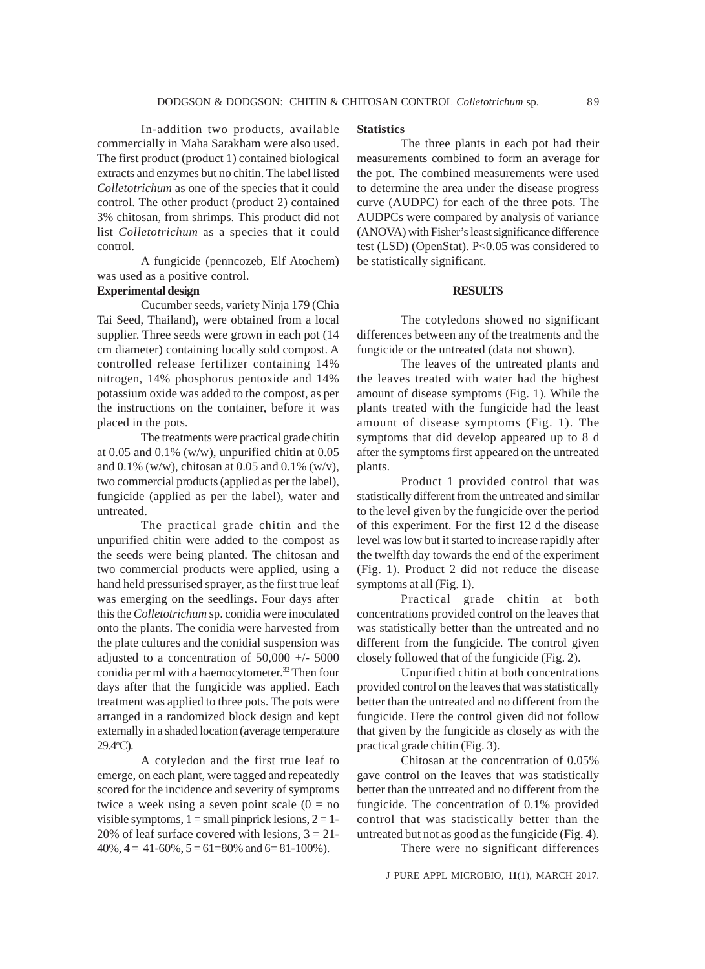In-addition two products, available commercially in Maha Sarakham were also used. The first product (product 1) contained biological extracts and enzymes but no chitin. The label listed *Colletotrichum* as one of the species that it could control. The other product (product 2) contained 3% chitosan, from shrimps. This product did not list *Colletotrichum* as a species that it could control.

A fungicide (penncozeb, Elf Atochem) was used as a positive control.

# **Experimental design**

Cucumber seeds, variety Ninja 179 (Chia Tai Seed, Thailand), were obtained from a local supplier. Three seeds were grown in each pot (14 cm diameter) containing locally sold compost. A controlled release fertilizer containing 14% nitrogen, 14% phosphorus pentoxide and 14% potassium oxide was added to the compost, as per the instructions on the container, before it was placed in the pots.

The treatments were practical grade chitin at  $0.05$  and  $0.1\%$  (w/w), unpurified chitin at  $0.05$ and 0.1% (w/w), chitosan at 0.05 and 0.1% (w/v), two commercial products (applied as per the label), fungicide (applied as per the label), water and untreated.

The practical grade chitin and the unpurified chitin were added to the compost as the seeds were being planted. The chitosan and two commercial products were applied, using a hand held pressurised sprayer, as the first true leaf was emerging on the seedlings. Four days after this the *Colletotrichum* sp. conidia were inoculated onto the plants. The conidia were harvested from the plate cultures and the conidial suspension was adjusted to a concentration of 50,000 +/- 5000 conidia per ml with a haemocytometer.<sup>32</sup> Then four days after that the fungicide was applied. Each treatment was applied to three pots. The pots were arranged in a randomized block design and kept externally in a shaded location (average temperature 29.4o C).

A cotyledon and the first true leaf to emerge, on each plant, were tagged and repeatedly scored for the incidence and severity of symptoms twice a week using a seven point scale  $(0 = no$ visible symptoms,  $1 =$  small pinprick lesions,  $2 = 1$ -20% of leaf surface covered with lesions,  $3 = 21$ - $40\%, 4 = 41-60\%, 5 = 61=80\%$  and  $6 = 81-100\%$ ).

## **Statistics**

The three plants in each pot had their measurements combined to form an average for the pot. The combined measurements were used to determine the area under the disease progress curve (AUDPC) for each of the three pots. The AUDPCs were compared by analysis of variance (ANOVA) with Fisher's least significance difference test (LSD) (OpenStat). P<0.05 was considered to be statistically significant.

## **RESULTS**

The cotyledons showed no significant differences between any of the treatments and the fungicide or the untreated (data not shown).

The leaves of the untreated plants and the leaves treated with water had the highest amount of disease symptoms (Fig. 1). While the plants treated with the fungicide had the least amount of disease symptoms (Fig. 1). The symptoms that did develop appeared up to 8 d after the symptoms first appeared on the untreated plants.

Product 1 provided control that was statistically different from the untreated and similar to the level given by the fungicide over the period of this experiment. For the first 12 d the disease level was low but it started to increase rapidly after the twelfth day towards the end of the experiment (Fig. 1). Product 2 did not reduce the disease symptoms at all (Fig. 1).

Practical grade chitin at both concentrations provided control on the leaves that was statistically better than the untreated and no different from the fungicide. The control given closely followed that of the fungicide (Fig. 2).

Unpurified chitin at both concentrations provided control on the leaves that was statistically better than the untreated and no different from the fungicide. Here the control given did not follow that given by the fungicide as closely as with the practical grade chitin (Fig. 3).

Chitosan at the concentration of 0.05% gave control on the leaves that was statistically better than the untreated and no different from the fungicide. The concentration of 0.1% provided control that was statistically better than the untreated but not as good as the fungicide (Fig. 4).

There were no significant differences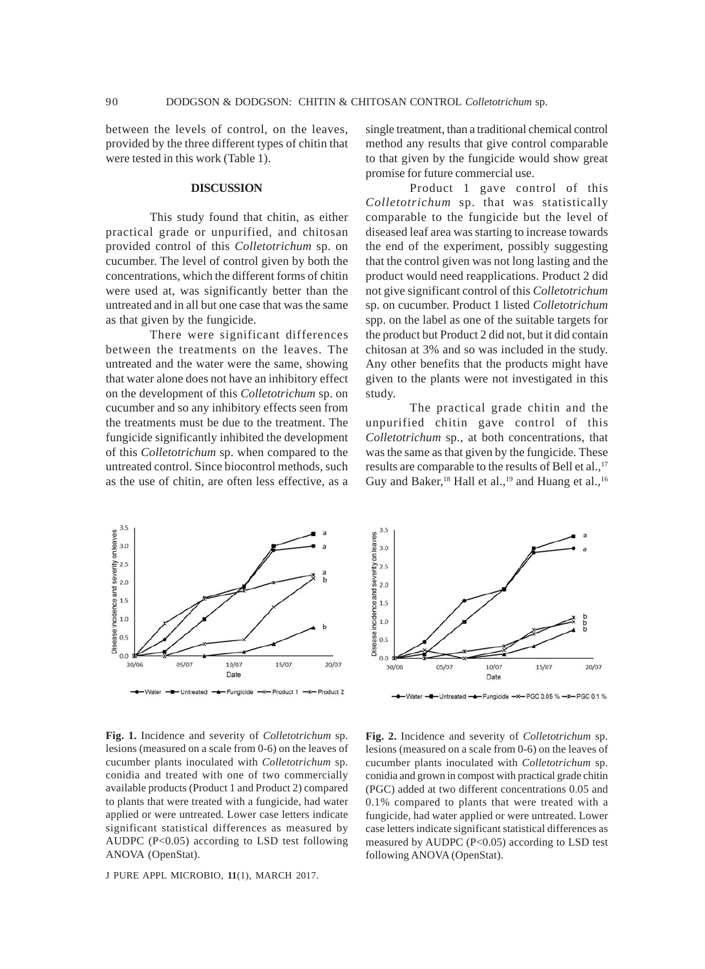between the levels of control, on the leaves, provided by the three different types of chitin that were tested in this work (Table 1).

## **DISCUSSION**

This study found that chitin, as either practical grade or unpurified, and chitosan provided control of this *Colletotrichum* sp. on cucumber. The level of control given by both the concentrations, which the different forms of chitin were used at, was significantly better than the untreated and in all but one case that was the same as that given by the fungicide.

There were significant differences between the treatments on the leaves. The untreated and the water were the same, showing that water alone does not have an inhibitory effect on the development of this *Colletotrichum* sp. on cucumber and so any inhibitory effects seen from the treatments must be due to the treatment. The fungicide significantly inhibited the development of this *Colletotrichum* sp. when compared to the untreated control. Since biocontrol methods, such as the use of chitin, are often less effective, as a

single treatment, than a traditional chemical control method any results that give control comparable to that given by the fungicide would show great promise for future commercial use.

Product 1 gave control of this *Colletotrichum* sp. that was statistically comparable to the fungicide but the level of diseased leaf area was starting to increase towards the end of the experiment, possibly suggesting that the control given was not long lasting and the product would need reapplications. Product 2 did not give significant control of this *Colletotrichum* sp. on cucumber. Product 1 listed *Colletotrichum* spp. on the label as one of the suitable targets for the product but Product 2 did not, but it did contain chitosan at 3% and so was included in the study. Any other benefits that the products might have given to the plants were not investigated in this study.

The practical grade chitin and the unpurified chitin gave control of this *Colletotrichum* sp.*,* at both concentrations, that was the same as that given by the fungicide. These results are comparable to the results of Bell et al.,<sup>17</sup> Guy and Baker,<sup>18</sup> Hall et al.,<sup>19</sup> and Huang et al.,<sup>16</sup>



**Fig. 1.** Incidence and severity of *Colletotrichum* sp. lesions (measured on a scale from 0-6) on the leaves of cucumber plants inoculated with *Colletotrichum* sp. conidia and treated with one of two commercially available products (Product 1 and Product 2) compared to plants that were treated with a fungicide, had water applied or were untreated. Lower case letters indicate significant statistical differences as measured by AUDPC (P<0.05) according to LSD test following ANOVA (OpenStat).



**Fig. 2.** Incidence and severity of *Colletotrichum* sp. lesions (measured on a scale from 0-6) on the leaves of cucumber plants inoculated with *Colletotrichum* sp. conidia and grown in compost with practical grade chitin (PGC) added at two different concentrations 0.05 and 0.1% compared to plants that were treated with a fungicide, had water applied or were untreated. Lower case letters indicate significant statistical differences as measured by AUDPC (P<0.05) according to LSD test following ANOVA (OpenStat).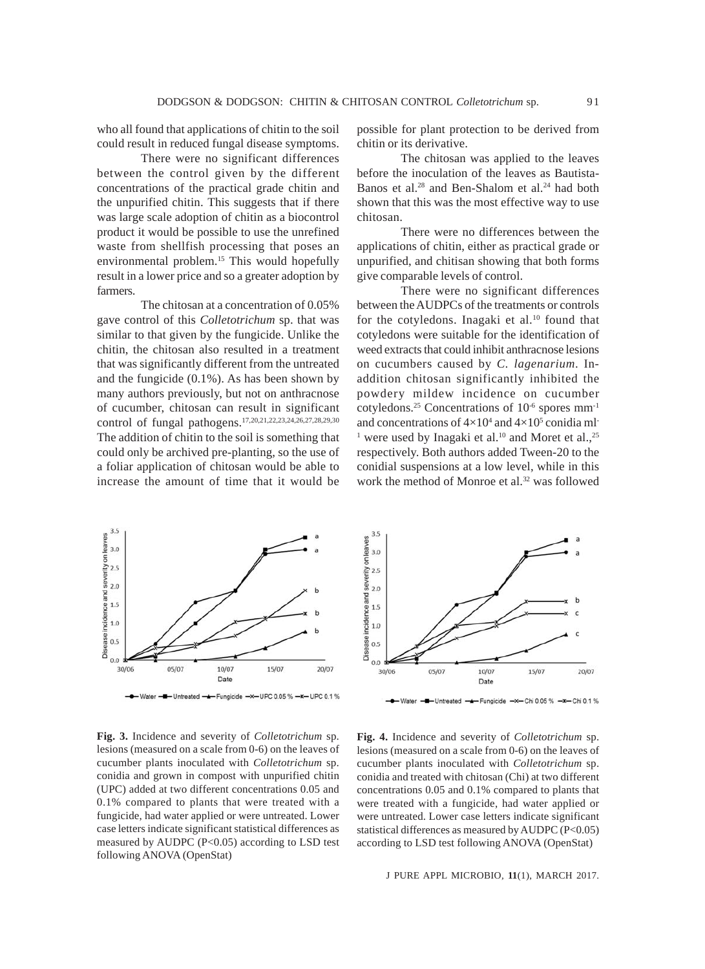who all found that applications of chitin to the soil could result in reduced fungal disease symptoms.

There were no significant differences between the control given by the different concentrations of the practical grade chitin and the unpurified chitin. This suggests that if there was large scale adoption of chitin as a biocontrol product it would be possible to use the unrefined waste from shellfish processing that poses an environmental problem.<sup>15</sup> This would hopefully result in a lower price and so a greater adoption by farmers.

The chitosan at a concentration of 0.05% gave control of this *Colletotrichum* sp. that was similar to that given by the fungicide. Unlike the chitin, the chitosan also resulted in a treatment that was significantly different from the untreated and the fungicide (0.1%). As has been shown by many authors previously, but not on anthracnose of cucumber, chitosan can result in significant control of fungal pathogens.17,20,21,22,23,24,26,27,28,29,30 The addition of chitin to the soil is something that could only be archived pre-planting, so the use of a foliar application of chitosan would be able to increase the amount of time that it would be

possible for plant protection to be derived from chitin or its derivative.

The chitosan was applied to the leaves before the inoculation of the leaves as Bautista-Banos et al.<sup>28</sup> and Ben-Shalom et al.<sup>24</sup> had both shown that this was the most effective way to use chitosan.

There were no differences between the applications of chitin, either as practical grade or unpurified, and chitisan showing that both forms give comparable levels of control.

There were no significant differences between the AUDPCs of the treatments or controls for the cotyledons. Inagaki et al. $10$  found that cotyledons were suitable for the identification of weed extracts that could inhibit anthracnose lesions on cucumbers caused by *C. lagenarium*. Inaddition chitosan significantly inhibited the powdery mildew incidence on cucumber cotyledons.<sup>25</sup> Concentrations of  $10^{-6}$  spores mm<sup>-1</sup> and concentrations of  $4\times10^4$  and  $4\times10^5$  conidia ml<sup>-</sup> <sup>1</sup> were used by Inagaki et al.<sup>10</sup> and Moret et al.,<sup>25</sup> respectively. Both authors added Tween-20 to the conidial suspensions at a low level, while in this work the method of Monroe et al.<sup>32</sup> was followed



**Fig. 3.** Incidence and severity of *Colletotrichum* sp. lesions (measured on a scale from 0-6) on the leaves of cucumber plants inoculated with *Colletotrichum* sp. conidia and grown in compost with unpurified chitin (UPC) added at two different concentrations 0.05 and 0.1% compared to plants that were treated with a fungicide, had water applied or were untreated. Lower case letters indicate significant statistical differences as measured by AUDPC (P<0.05) according to LSD test following ANOVA (OpenStat)



**Fig. 4.** Incidence and severity of *Colletotrichum* sp. lesions (measured on a scale from 0-6) on the leaves of cucumber plants inoculated with *Colletotrichum* sp. conidia and treated with chitosan (Chi) at two different concentrations 0.05 and 0.1% compared to plants that were treated with a fungicide, had water applied or were untreated. Lower case letters indicate significant statistical differences as measured by AUDPC (P<0.05) according to LSD test following ANOVA (OpenStat)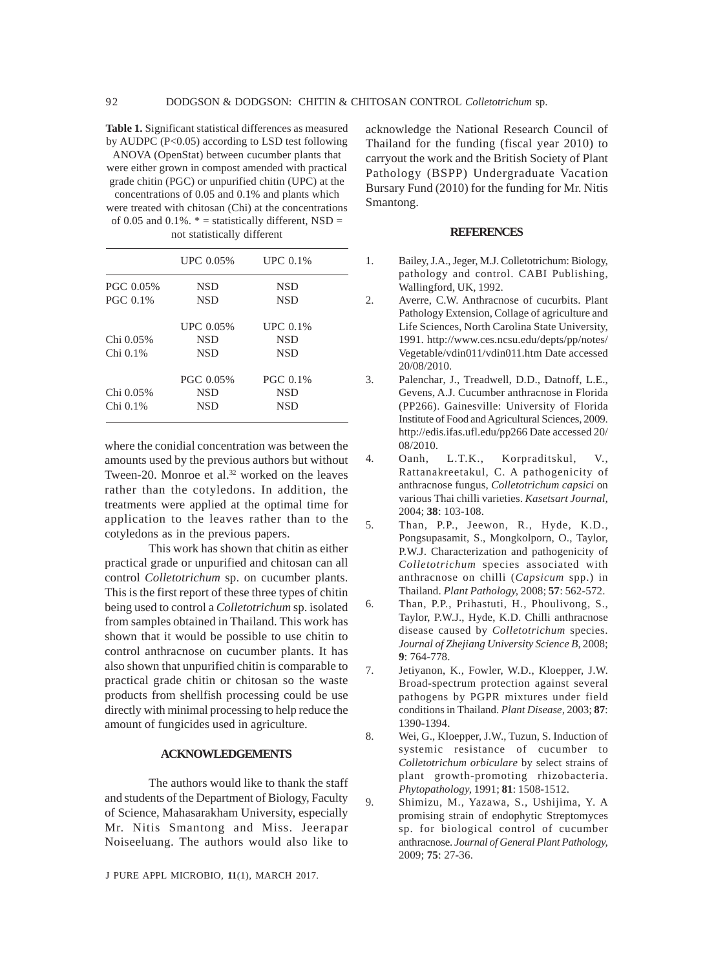**Table 1.** Significant statistical differences as measured by AUDPC (P<0.05) according to LSD test following

ANOVA (OpenStat) between cucumber plants that were either grown in compost amended with practical grade chitin (PGC) or unpurified chitin (UPC) at the concentrations of 0.05 and 0.1% and plants which were treated with chitosan (Chi) at the concentrations of 0.05 and 0.1%.  $* =$  statistically different, NSD = not statistically different

|                 | UPC 0.05%  | UPC 0.1%        |
|-----------------|------------|-----------------|
| PGC 0.05%       | <b>NSD</b> | <b>NSD</b>      |
| <b>PGC 0.1%</b> | <b>NSD</b> | <b>NSD</b>      |
|                 | UPC 0.05%  | UPC 0.1%        |
| Chi 0.05%       | <b>NSD</b> | <b>NSD</b>      |
| Chi 0.1%        | <b>NSD</b> | <b>NSD</b>      |
|                 | PGC 0.05%  | <b>PGC 0.1%</b> |
| Chi 0.05%       | <b>NSD</b> | <b>NSD</b>      |
| Chi 0.1%        | NSD        | <b>NSD</b>      |
|                 |            |                 |

where the conidial concentration was between the amounts used by the previous authors but without Tween-20. Monroe et al.<sup>32</sup> worked on the leaves rather than the cotyledons. In addition, the treatments were applied at the optimal time for application to the leaves rather than to the cotyledons as in the previous papers.

This work has shown that chitin as either practical grade or unpurified and chitosan can all control *Colletotrichum* sp. on cucumber plants. This is the first report of these three types of chitin being used to control a *Colletotrichum* sp. isolated from samples obtained in Thailand. This work has shown that it would be possible to use chitin to control anthracnose on cucumber plants. It has also shown that unpurified chitin is comparable to practical grade chitin or chitosan so the waste products from shellfish processing could be use directly with minimal processing to help reduce the amount of fungicides used in agriculture.

# **ACKNOWLEDGEMENTS**

The authors would like to thank the staff and students of the Department of Biology, Faculty of Science, Mahasarakham University, especially Mr. Nitis Smantong and Miss. Jeerapar Noiseeluang. The authors would also like to

J PURE APPL MICROBIO*,* **11**(1), MARCH 2017.

acknowledge the National Research Council of Thailand for the funding (fiscal year 2010) to carryout the work and the British Society of Plant Pathology (BSPP) Undergraduate Vacation Bursary Fund (2010) for the funding for Mr. Nitis Smantong.

#### **REFERENCES**

- 1. Bailey, J.A., Jeger, M.J. Colletotrichum: Biology, pathology and control. CABI Publishing, Wallingford, UK, 1992.
- 2. Averre, C.W. Anthracnose of cucurbits. Plant Pathology Extension, Collage of agriculture and Life Sciences, North Carolina State University, 1991. http://www.ces.ncsu.edu/depts/pp/notes/ Vegetable/vdin011/vdin011.htm Date accessed 20/08/2010.
- 3. Palenchar, J., Treadwell, D.D., Datnoff, L.E., Gevens, A.J. Cucumber anthracnose in Florida (PP266). Gainesville: University of Florida Institute of Food and Agricultural Sciences, 2009. http://edis.ifas.ufl.edu/pp266 Date accessed 20/ 08/2010.
- 4. Oanh, L.T.K., Korpraditskul, V., Rattanakreetakul, C. A pathogenicity of anthracnose fungus, *Colletotrichum capsici* on various Thai chilli varieties. *Kasetsart Journal,* 2004; **38**: 103-108.
- 5. Than, P.P., Jeewon, R., Hyde, K.D., Pongsupasamit, S., Mongkolporn, O., Taylor, P.W.J. Characterization and pathogenicity of *Colletotrichum* species associated with anthracnose on chilli (*Capsicum* spp.) in Thailand. *Plant Pathology,* 2008; **57**: 562-572.
- 6. Than, P.P., Prihastuti, H., Phoulivong, S., Taylor, P.W.J., Hyde, K.D. Chilli anthracnose disease caused by *Colletotrichum* species. *Journal of Zhejiang University Science B*, 2008; **9**: 764-778.
- 7. Jetiyanon, K., Fowler, W.D., Kloepper, J.W. Broad-spectrum protection against several pathogens by PGPR mixtures under field conditions in Thailand. *Plant Disease,* 2003; **87**: 1390-1394.
- 8. Wei, G., Kloepper, J.W., Tuzun, S. Induction of systemic resistance of cucumber to *Colletotrichum orbiculare* by select strains of plant growth-promoting rhizobacteria. *Phytopathology,* 1991; **81**: 1508-1512.
- 9. Shimizu, M., Yazawa, S., Ushijima, Y. A promising strain of endophytic Streptomyces sp. for biological control of cucumber anthracnose. *Journal of General Plant Pathology,* 2009; **75**: 27-36.